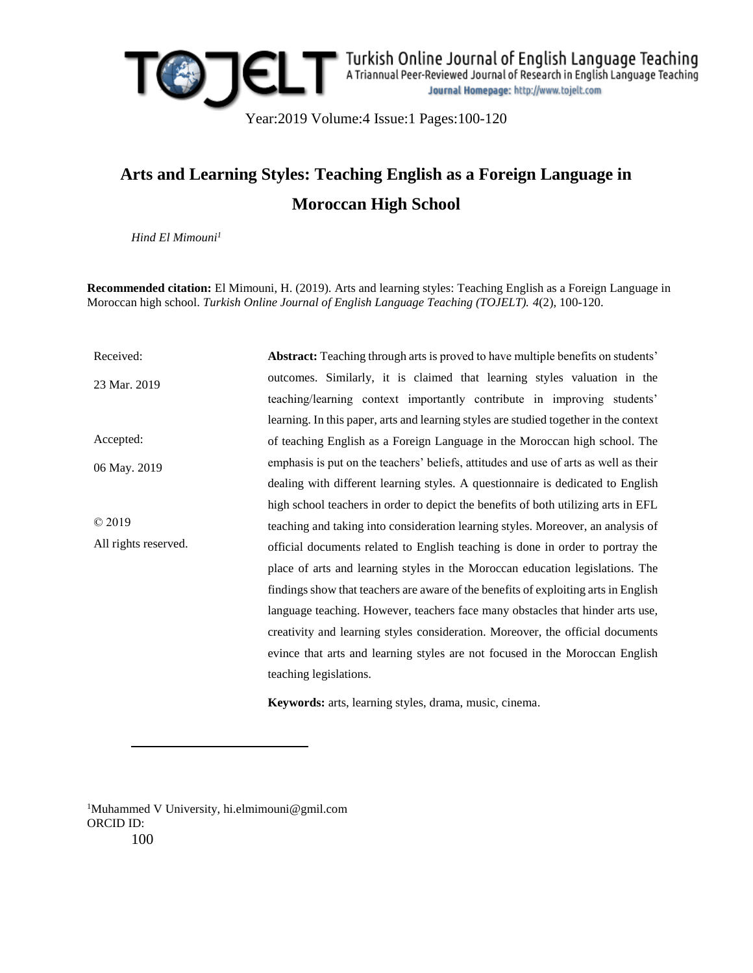

# **Arts and Learning Styles: Teaching English as a Foreign Language in Moroccan High School**

*Hind El Mimouni<sup>1</sup>*

**Recommended citation:** El Mimouni, H. (2019). Arts and learning styles: Teaching English as a Foreign Language in Moroccan high school. *Turkish Online Journal of English Language Teaching (TOJELT). 4*(2), 100-120.

Received: 23 Mar. 2019 Accepted: 06 May. 2019 © 2019 All rights reserved. **Abstract:** Teaching through arts is proved to have multiple benefits on students' outcomes. Similarly, it is claimed that learning styles valuation in the teaching/learning context importantly contribute in improving students' learning. In this paper, arts and learning styles are studied together in the context of teaching English as a Foreign Language in the Moroccan high school. The emphasis is put on the teachers' beliefs, attitudes and use of arts as well as their dealing with different learning styles. A questionnaire is dedicated to English high school teachers in order to depict the benefits of both utilizing arts in EFL teaching and taking into consideration learning styles. Moreover, an analysis of official documents related to English teaching is done in order to portray the place of arts and learning styles in the Moroccan education legislations. The findings show that teachers are aware of the benefits of exploiting arts in English language teaching. However, teachers face many obstacles that hinder arts use, creativity and learning styles consideration. Moreover, the official documents evince that arts and learning styles are not focused in the Moroccan English teaching legislations.

**Keywords:** arts, learning styles, drama, music, cinema.

100 <sup>1</sup>Muhammed V University, hi.elmimouni@gmil.com ORCID ID:

 $\overline{a}$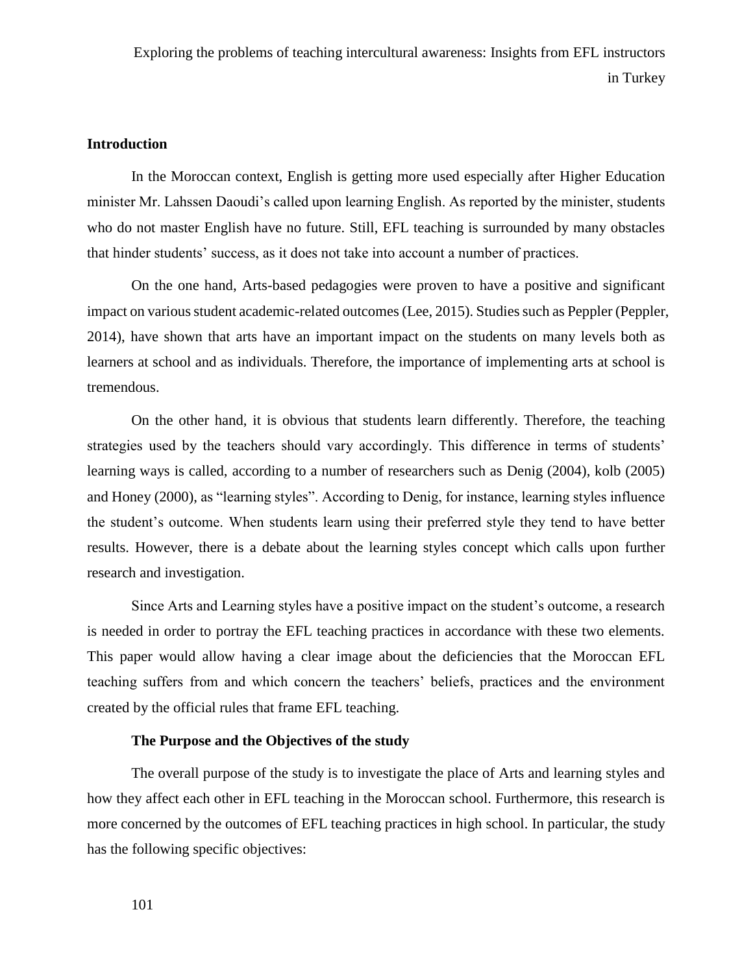## **Introduction**

In the Moroccan context, English is getting more used especially after Higher Education minister Mr. Lahssen Daoudi's called upon learning English. As reported by the minister, students who do not master English have no future. Still, EFL teaching is surrounded by many obstacles that hinder students' success, as it does not take into account a number of practices.

On the one hand, Arts-based pedagogies were proven to have a positive and significant impact on various student academic-related outcomes (Lee, 2015). Studies such as Peppler (Peppler, 2014), have shown that arts have an important impact on the students on many levels both as learners at school and as individuals. Therefore, the importance of implementing arts at school is tremendous.

On the other hand, it is obvious that students learn differently. Therefore, the teaching strategies used by the teachers should vary accordingly. This difference in terms of students' learning ways is called, according to a number of researchers such as Denig (2004), kolb (2005) and Honey (2000), as "learning styles". According to Denig, for instance, learning styles influence the student's outcome. When students learn using their preferred style they tend to have better results. However, there is a debate about the learning styles concept which calls upon further research and investigation.

Since Arts and Learning styles have a positive impact on the student's outcome, a research is needed in order to portray the EFL teaching practices in accordance with these two elements. This paper would allow having a clear image about the deficiencies that the Moroccan EFL teaching suffers from and which concern the teachers' beliefs, practices and the environment created by the official rules that frame EFL teaching.

## **The Purpose and the Objectives of the study**

The overall purpose of the study is to investigate the place of Arts and learning styles and how they affect each other in EFL teaching in the Moroccan school. Furthermore, this research is more concerned by the outcomes of EFL teaching practices in high school. In particular, the study has the following specific objectives: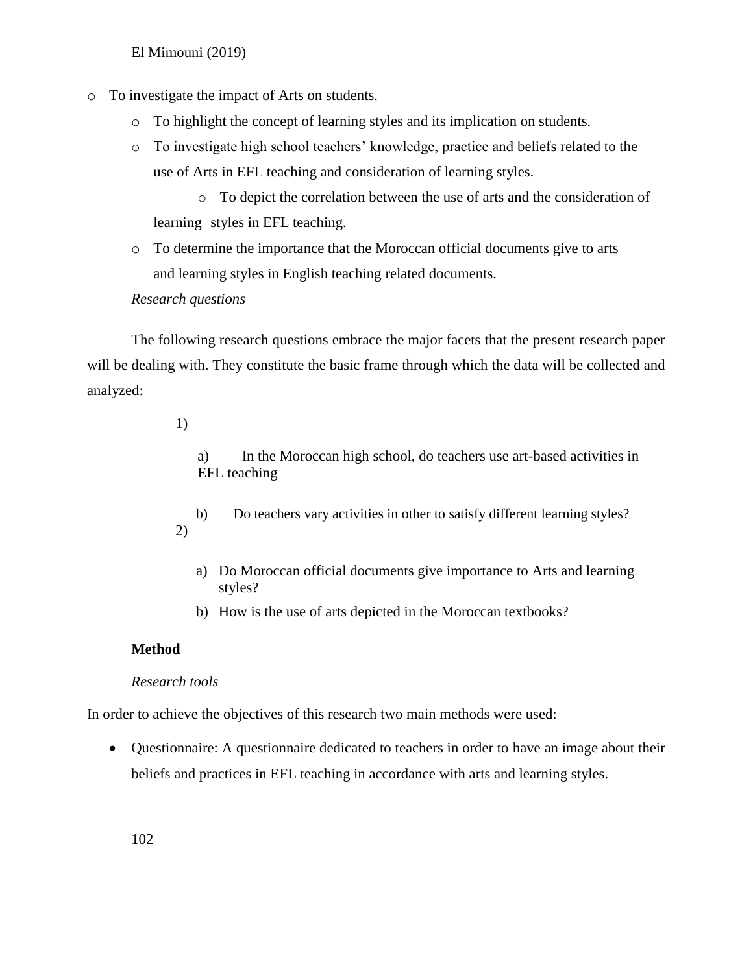- o To investigate the impact of Arts on students.
	- o To highlight the concept of learning styles and its implication on students.
	- o To investigate high school teachers' knowledge, practice and beliefs related to the use of Arts in EFL teaching and consideration of learning styles.

o To depict the correlation between the use of arts and the consideration of learning styles in EFL teaching.

o To determine the importance that the Moroccan official documents give to arts and learning styles in English teaching related documents.

## *Research questions*

The following research questions embrace the major facets that the present research paper will be dealing with. They constitute the basic frame through which the data will be collected and analyzed:

## 1)

a) In the Moroccan high school, do teachers use art-based activities in EFL teaching

- b) Do teachers vary activities in other to satisfy different learning styles? 2)
	- a) Do Moroccan official documents give importance to Arts and learning styles?
	- b) How is the use of arts depicted in the Moroccan textbooks?

## **Method**

## *Research tools*

In order to achieve the objectives of this research two main methods were used:

 Questionnaire: A questionnaire dedicated to teachers in order to have an image about their beliefs and practices in EFL teaching in accordance with arts and learning styles.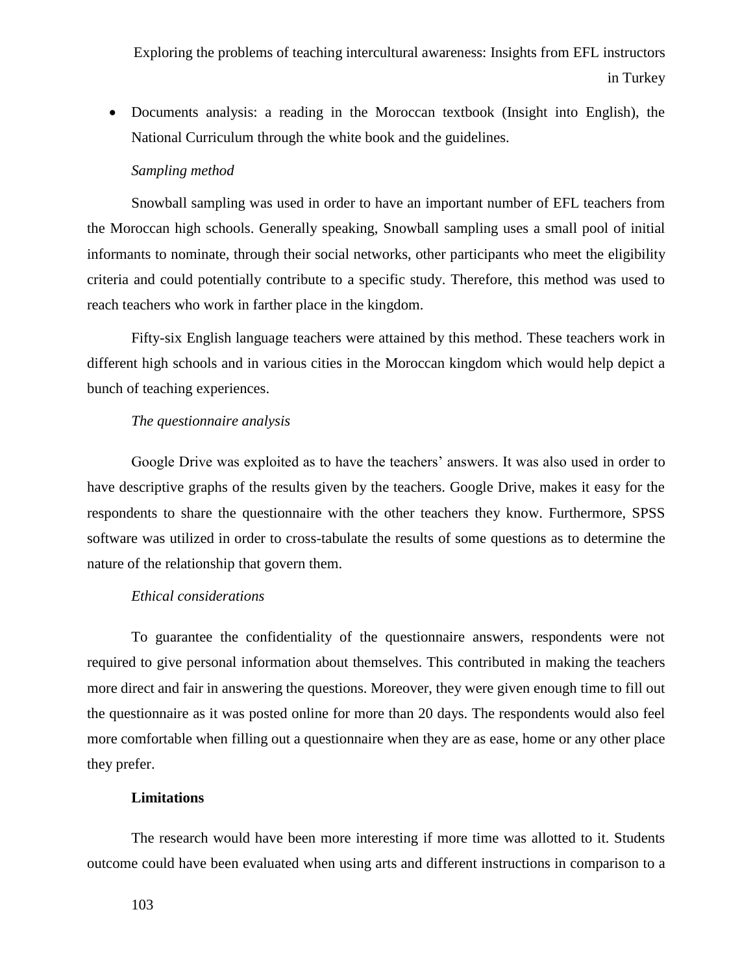Documents analysis: a reading in the Moroccan textbook (Insight into English), the National Curriculum through the white book and the guidelines.

### *Sampling method*

Snowball sampling was used in order to have an important number of EFL teachers from the Moroccan high schools. Generally speaking, Snowball sampling uses a small pool of initial informants to nominate, through their social networks, other participants who meet the eligibility criteria and could potentially contribute to a specific study. Therefore, this method was used to reach teachers who work in farther place in the kingdom.

Fifty-six English language teachers were attained by this method. These teachers work in different high schools and in various cities in the Moroccan kingdom which would help depict a bunch of teaching experiences.

#### *The questionnaire analysis*

Google Drive was exploited as to have the teachers' answers. It was also used in order to have descriptive graphs of the results given by the teachers. Google Drive, makes it easy for the respondents to share the questionnaire with the other teachers they know. Furthermore, SPSS software was utilized in order to cross-tabulate the results of some questions as to determine the nature of the relationship that govern them.

## *Ethical considerations*

To guarantee the confidentiality of the questionnaire answers, respondents were not required to give personal information about themselves. This contributed in making the teachers more direct and fair in answering the questions. Moreover, they were given enough time to fill out the questionnaire as it was posted online for more than 20 days. The respondents would also feel more comfortable when filling out a questionnaire when they are as ease, home or any other place they prefer.

## **Limitations**

The research would have been more interesting if more time was allotted to it. Students outcome could have been evaluated when using arts and different instructions in comparison to a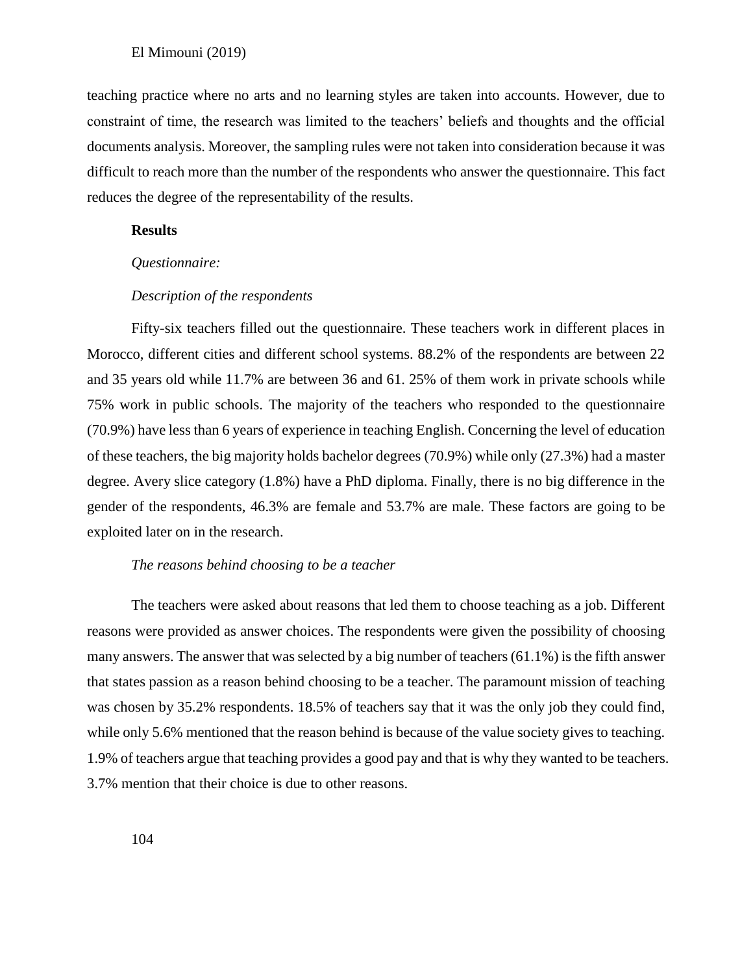teaching practice where no arts and no learning styles are taken into accounts. However, due to constraint of time, the research was limited to the teachers' beliefs and thoughts and the official documents analysis. Moreover, the sampling rules were not taken into consideration because it was difficult to reach more than the number of the respondents who answer the questionnaire. This fact reduces the degree of the representability of the results.

## **Results**

#### *Questionnaire:*

### *Description of the respondents*

Fifty-six teachers filled out the questionnaire. These teachers work in different places in Morocco, different cities and different school systems. 88.2% of the respondents are between 22 and 35 years old while 11.7% are between 36 and 61. 25% of them work in private schools while 75% work in public schools. The majority of the teachers who responded to the questionnaire (70.9%) have less than 6 years of experience in teaching English. Concerning the level of education of these teachers, the big majority holds bachelor degrees (70.9%) while only (27.3%) had a master degree. Avery slice category (1.8%) have a PhD diploma. Finally, there is no big difference in the gender of the respondents, 46.3% are female and 53.7% are male. These factors are going to be exploited later on in the research.

#### *The reasons behind choosing to be a teacher*

The teachers were asked about reasons that led them to choose teaching as a job. Different reasons were provided as answer choices. The respondents were given the possibility of choosing many answers. The answer that was selected by a big number of teachers (61.1%) is the fifth answer that states passion as a reason behind choosing to be a teacher. The paramount mission of teaching was chosen by 35.2% respondents. 18.5% of teachers say that it was the only job they could find, while only 5.6% mentioned that the reason behind is because of the value society gives to teaching. 1.9% of teachers argue that teaching provides a good pay and that is why they wanted to be teachers. 3.7% mention that their choice is due to other reasons.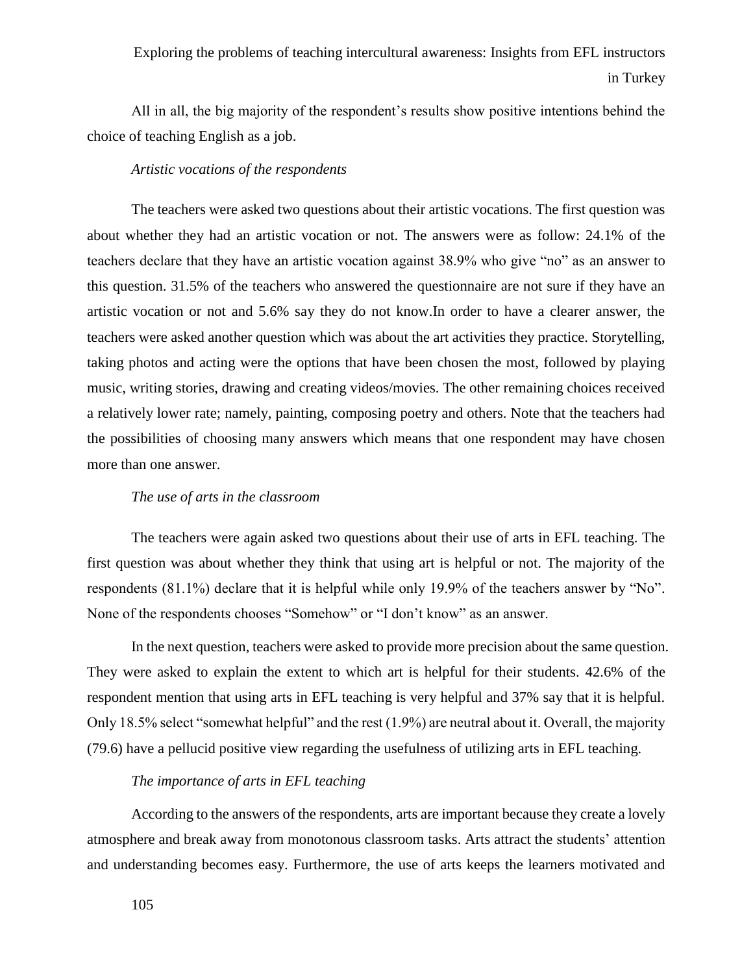All in all, the big majority of the respondent's results show positive intentions behind the choice of teaching English as a job.

## *Artistic vocations of the respondents*

The teachers were asked two questions about their artistic vocations. The first question was about whether they had an artistic vocation or not. The answers were as follow: 24.1% of the teachers declare that they have an artistic vocation against 38.9% who give "no" as an answer to this question. 31.5% of the teachers who answered the questionnaire are not sure if they have an artistic vocation or not and 5.6% say they do not know.In order to have a clearer answer, the teachers were asked another question which was about the art activities they practice. Storytelling, taking photos and acting were the options that have been chosen the most, followed by playing music, writing stories, drawing and creating videos/movies. The other remaining choices received a relatively lower rate; namely, painting, composing poetry and others. Note that the teachers had the possibilities of choosing many answers which means that one respondent may have chosen more than one answer.

#### *The use of arts in the classroom*

The teachers were again asked two questions about their use of arts in EFL teaching. The first question was about whether they think that using art is helpful or not. The majority of the respondents (81.1%) declare that it is helpful while only 19.9% of the teachers answer by "No". None of the respondents chooses "Somehow" or "I don't know" as an answer.

In the next question, teachers were asked to provide more precision about the same question. They were asked to explain the extent to which art is helpful for their students. 42.6% of the respondent mention that using arts in EFL teaching is very helpful and 37% say that it is helpful. Only 18.5% select "somewhat helpful" and the rest (1.9%) are neutral about it. Overall, the majority (79.6) have a pellucid positive view regarding the usefulness of utilizing arts in EFL teaching.

### *The importance of arts in EFL teaching*

According to the answers of the respondents, arts are important because they create a lovely atmosphere and break away from monotonous classroom tasks. Arts attract the students' attention and understanding becomes easy. Furthermore, the use of arts keeps the learners motivated and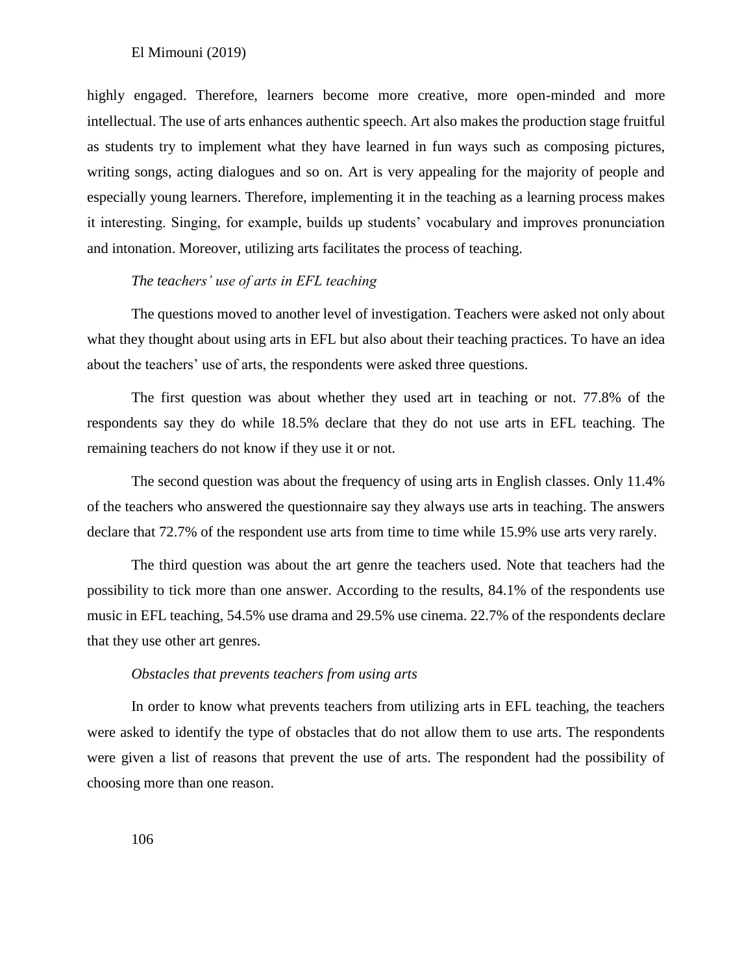highly engaged. Therefore, learners become more creative, more open-minded and more intellectual. The use of arts enhances authentic speech. Art also makes the production stage fruitful as students try to implement what they have learned in fun ways such as composing pictures, writing songs, acting dialogues and so on. Art is very appealing for the majority of people and especially young learners. Therefore, implementing it in the teaching as a learning process makes it interesting. Singing, for example, builds up students' vocabulary and improves pronunciation and intonation. Moreover, utilizing arts facilitates the process of teaching.

## *The teachers' use of arts in EFL teaching*

The questions moved to another level of investigation. Teachers were asked not only about what they thought about using arts in EFL but also about their teaching practices. To have an idea about the teachers' use of arts, the respondents were asked three questions.

The first question was about whether they used art in teaching or not. 77.8% of the respondents say they do while 18.5% declare that they do not use arts in EFL teaching. The remaining teachers do not know if they use it or not.

The second question was about the frequency of using arts in English classes. Only 11.4% of the teachers who answered the questionnaire say they always use arts in teaching. The answers declare that 72.7% of the respondent use arts from time to time while 15.9% use arts very rarely.

The third question was about the art genre the teachers used. Note that teachers had the possibility to tick more than one answer. According to the results, 84.1% of the respondents use music in EFL teaching, 54.5% use drama and 29.5% use cinema. 22.7% of the respondents declare that they use other art genres.

#### *Obstacles that prevents teachers from using arts*

In order to know what prevents teachers from utilizing arts in EFL teaching, the teachers were asked to identify the type of obstacles that do not allow them to use arts. The respondents were given a list of reasons that prevent the use of arts. The respondent had the possibility of choosing more than one reason.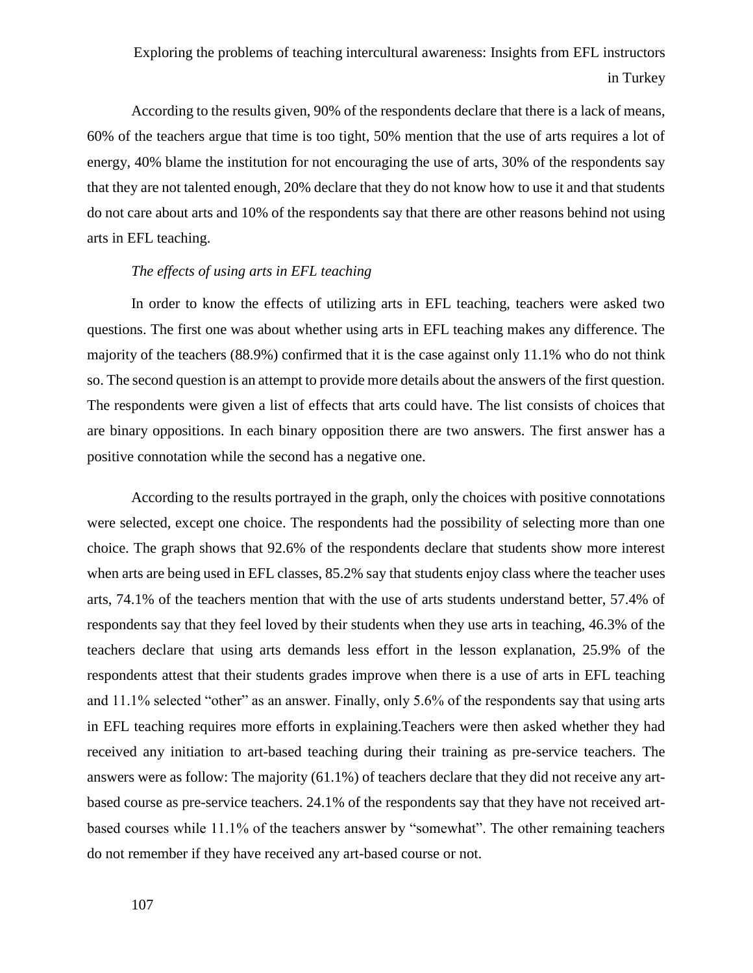According to the results given, 90% of the respondents declare that there is a lack of means, 60% of the teachers argue that time is too tight, 50% mention that the use of arts requires a lot of energy, 40% blame the institution for not encouraging the use of arts, 30% of the respondents say that they are not talented enough, 20% declare that they do not know how to use it and that students do not care about arts and 10% of the respondents say that there are other reasons behind not using arts in EFL teaching.

## *The effects of using arts in EFL teaching*

In order to know the effects of utilizing arts in EFL teaching, teachers were asked two questions. The first one was about whether using arts in EFL teaching makes any difference. The majority of the teachers (88.9%) confirmed that it is the case against only 11.1% who do not think so. The second question is an attempt to provide more details about the answers of the first question. The respondents were given a list of effects that arts could have. The list consists of choices that are binary oppositions. In each binary opposition there are two answers. The first answer has a positive connotation while the second has a negative one.

According to the results portrayed in the graph, only the choices with positive connotations were selected, except one choice. The respondents had the possibility of selecting more than one choice. The graph shows that 92.6% of the respondents declare that students show more interest when arts are being used in EFL classes, 85.2% say that students enjoy class where the teacher uses arts, 74.1% of the teachers mention that with the use of arts students understand better, 57.4% of respondents say that they feel loved by their students when they use arts in teaching, 46.3% of the teachers declare that using arts demands less effort in the lesson explanation, 25.9% of the respondents attest that their students grades improve when there is a use of arts in EFL teaching and 11.1% selected "other" as an answer. Finally, only 5.6% of the respondents say that using arts in EFL teaching requires more efforts in explaining.Teachers were then asked whether they had received any initiation to art-based teaching during their training as pre-service teachers. The answers were as follow: The majority (61.1%) of teachers declare that they did not receive any artbased course as pre-service teachers. 24.1% of the respondents say that they have not received artbased courses while 11.1% of the teachers answer by "somewhat". The other remaining teachers do not remember if they have received any art-based course or not.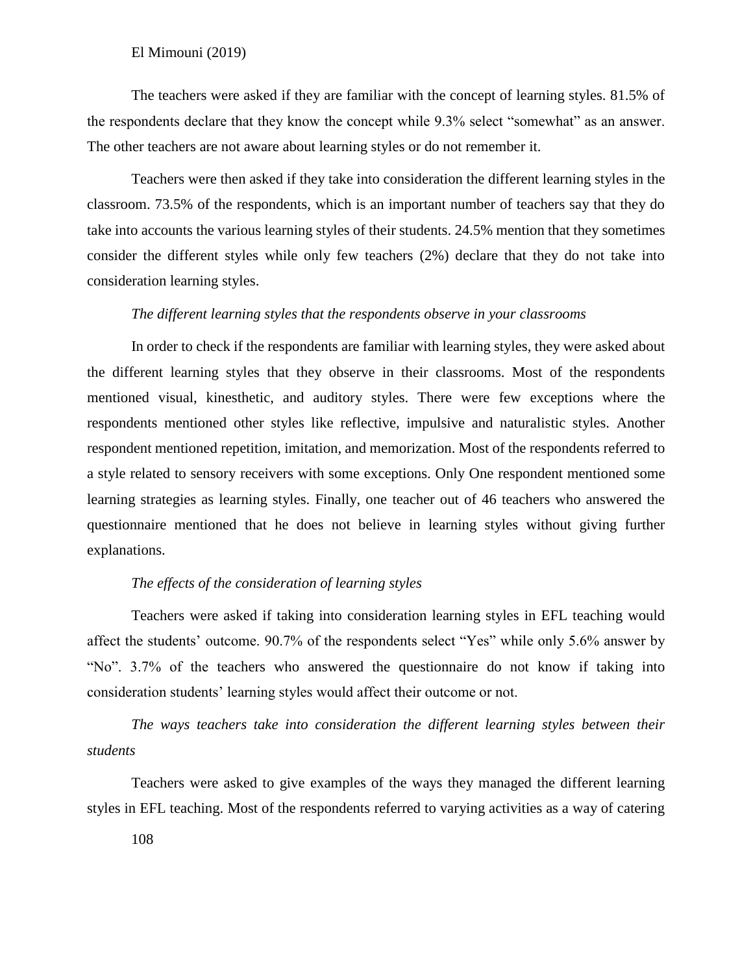The teachers were asked if they are familiar with the concept of learning styles. 81.5% of the respondents declare that they know the concept while 9.3% select "somewhat" as an answer. The other teachers are not aware about learning styles or do not remember it.

Teachers were then asked if they take into consideration the different learning styles in the classroom. 73.5% of the respondents, which is an important number of teachers say that they do take into accounts the various learning styles of their students. 24.5% mention that they sometimes consider the different styles while only few teachers (2%) declare that they do not take into consideration learning styles.

#### *The different learning styles that the respondents observe in your classrooms*

In order to check if the respondents are familiar with learning styles, they were asked about the different learning styles that they observe in their classrooms. Most of the respondents mentioned visual, kinesthetic, and auditory styles. There were few exceptions where the respondents mentioned other styles like reflective, impulsive and naturalistic styles. Another respondent mentioned repetition, imitation, and memorization. Most of the respondents referred to a style related to sensory receivers with some exceptions. Only One respondent mentioned some learning strategies as learning styles. Finally, one teacher out of 46 teachers who answered the questionnaire mentioned that he does not believe in learning styles without giving further explanations.

## *The effects of the consideration of learning styles*

Teachers were asked if taking into consideration learning styles in EFL teaching would affect the students' outcome. 90.7% of the respondents select "Yes" while only 5.6% answer by "No". 3.7% of the teachers who answered the questionnaire do not know if taking into consideration students' learning styles would affect their outcome or not.

*The ways teachers take into consideration the different learning styles between their students*

Teachers were asked to give examples of the ways they managed the different learning styles in EFL teaching. Most of the respondents referred to varying activities as a way of catering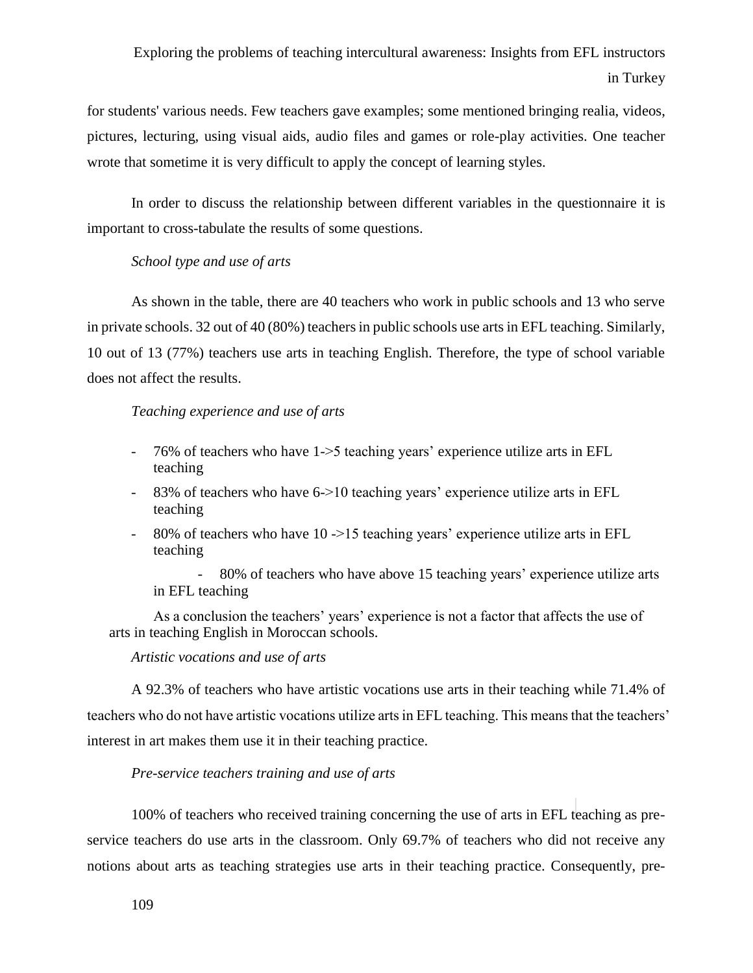for students' various needs. Few teachers gave examples; some mentioned bringing realia, videos, pictures, lecturing, using visual aids, audio files and games or role-play activities. One teacher wrote that sometime it is very difficult to apply the concept of learning styles.

In order to discuss the relationship between different variables in the questionnaire it is important to cross-tabulate the results of some questions.

### *School type and use of arts*

As shown in the table, there are 40 teachers who work in public schools and 13 who serve in private schools. 32 out of 40 (80%) teachers in public schools use arts in EFL teaching. Similarly, 10 out of 13 (77%) teachers use arts in teaching English. Therefore, the type of school variable does not affect the results.

### *Teaching experience and use of arts*

- 76% of teachers who have 1->5 teaching years' experience utilize arts in EFL teaching
- 83% of teachers who have 6->10 teaching years' experience utilize arts in EFL teaching
- 80% of teachers who have 10 ->15 teaching years' experience utilize arts in EFL teaching

- 80% of teachers who have above 15 teaching years' experience utilize arts in EFL teaching

As a conclusion the teachers' years' experience is not a factor that affects the use of arts in teaching English in Moroccan schools.

*Artistic vocations and use of arts*

A 92.3% of teachers who have artistic vocations use arts in their teaching while 71.4% of teachers who do not have artistic vocations utilize arts in EFL teaching. This means that the teachers' interest in art makes them use it in their teaching practice.

### *Pre-service teachers training and use of arts*

100% of teachers who received training concerning the use of arts in EFL teaching as preservice teachers do use arts in the classroom. Only 69.7% of teachers who did not receive any notions about arts as teaching strategies use arts in their teaching practice. Consequently, pre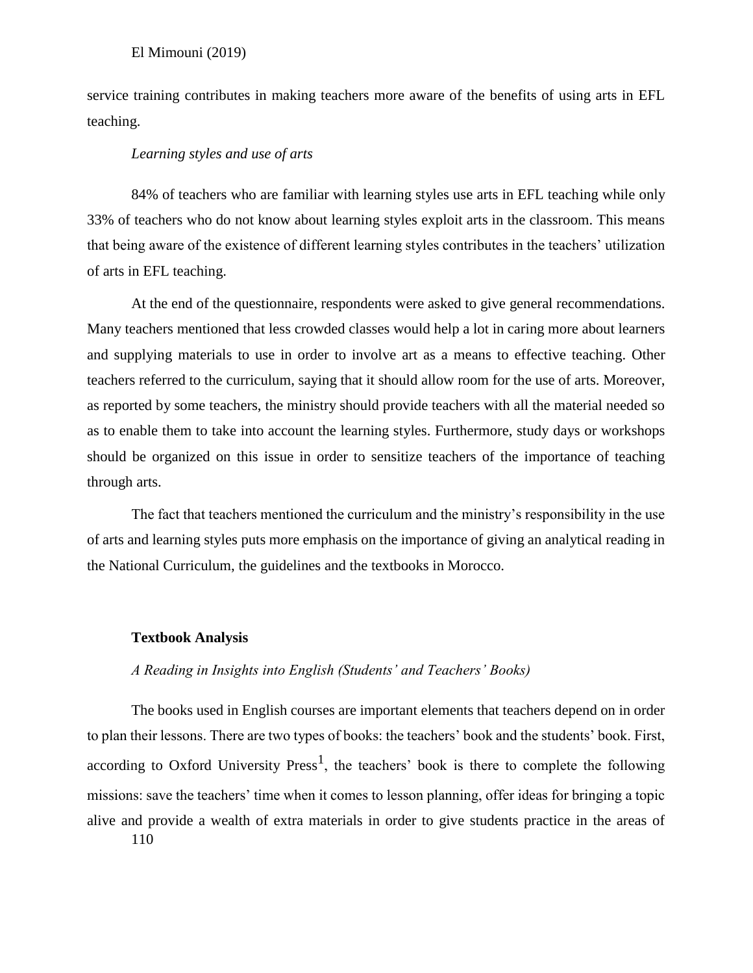service training contributes in making teachers more aware of the benefits of using arts in EFL teaching.

## *Learning styles and use of arts*

84% of teachers who are familiar with learning styles use arts in EFL teaching while only 33% of teachers who do not know about learning styles exploit arts in the classroom. This means that being aware of the existence of different learning styles contributes in the teachers' utilization of arts in EFL teaching.

At the end of the questionnaire, respondents were asked to give general recommendations. Many teachers mentioned that less crowded classes would help a lot in caring more about learners and supplying materials to use in order to involve art as a means to effective teaching. Other teachers referred to the curriculum, saying that it should allow room for the use of arts. Moreover, as reported by some teachers, the ministry should provide teachers with all the material needed so as to enable them to take into account the learning styles. Furthermore, study days or workshops should be organized on this issue in order to sensitize teachers of the importance of teaching through arts.

The fact that teachers mentioned the curriculum and the ministry's responsibility in the use of arts and learning styles puts more emphasis on the importance of giving an analytical reading in the National Curriculum, the guidelines and the textbooks in Morocco.

#### **Textbook Analysis**

## *A Reading in Insights into English (Students' and Teachers' Books)*

110 The books used in English courses are important elements that teachers depend on in order to plan their lessons. There are two types of books: the teachers' book and the students' book. First, according to Oxford University Press<sup>1</sup>, the teachers' book is there to complete the following missions: save the teachers' time when it comes to lesson planning, offer ideas for bringing a topic alive and provide a wealth of extra materials in order to give students practice in the areas of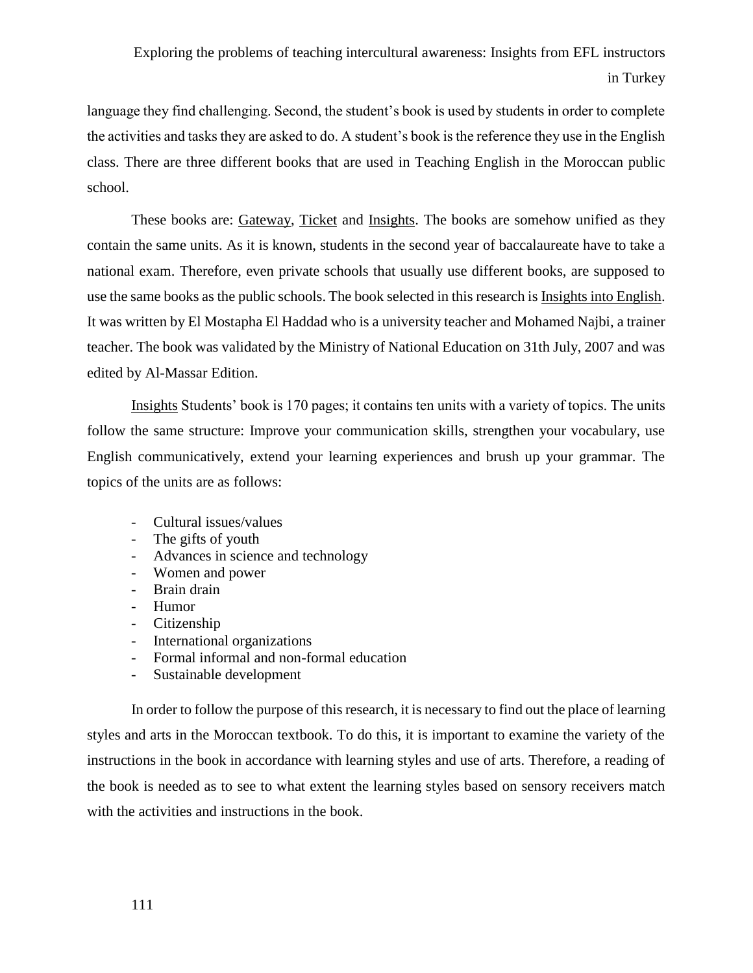language they find challenging. Second, the student's book is used by students in order to complete the activities and tasks they are asked to do. A student's book is the reference they use in the English class. There are three different books that are used in Teaching English in the Moroccan public school.

These books are: Gateway, Ticket and Insights. The books are somehow unified as they contain the same units. As it is known, students in the second year of baccalaureate have to take a national exam. Therefore, even private schools that usually use different books, are supposed to use the same books as the public schools. The book selected in this research is Insights into English. It was written by El Mostapha El Haddad who is a university teacher and Mohamed Najbi, a trainer teacher. The book was validated by the Ministry of National Education on 31th July, 2007 and was edited by Al-Massar Edition.

Insights Students' book is 170 pages; it contains ten units with a variety of topics. The units follow the same structure: Improve your communication skills, strengthen your vocabulary, use English communicatively, extend your learning experiences and brush up your grammar. The topics of the units are as follows:

- Cultural issues/values
- The gifts of youth
- Advances in science and technology
- Women and power
- Brain drain
- Humor
- Citizenship
- International organizations
- Formal informal and non-formal education
- Sustainable development

In order to follow the purpose of this research, it is necessary to find out the place of learning styles and arts in the Moroccan textbook. To do this, it is important to examine the variety of the instructions in the book in accordance with learning styles and use of arts. Therefore, a reading of the book is needed as to see to what extent the learning styles based on sensory receivers match with the activities and instructions in the book.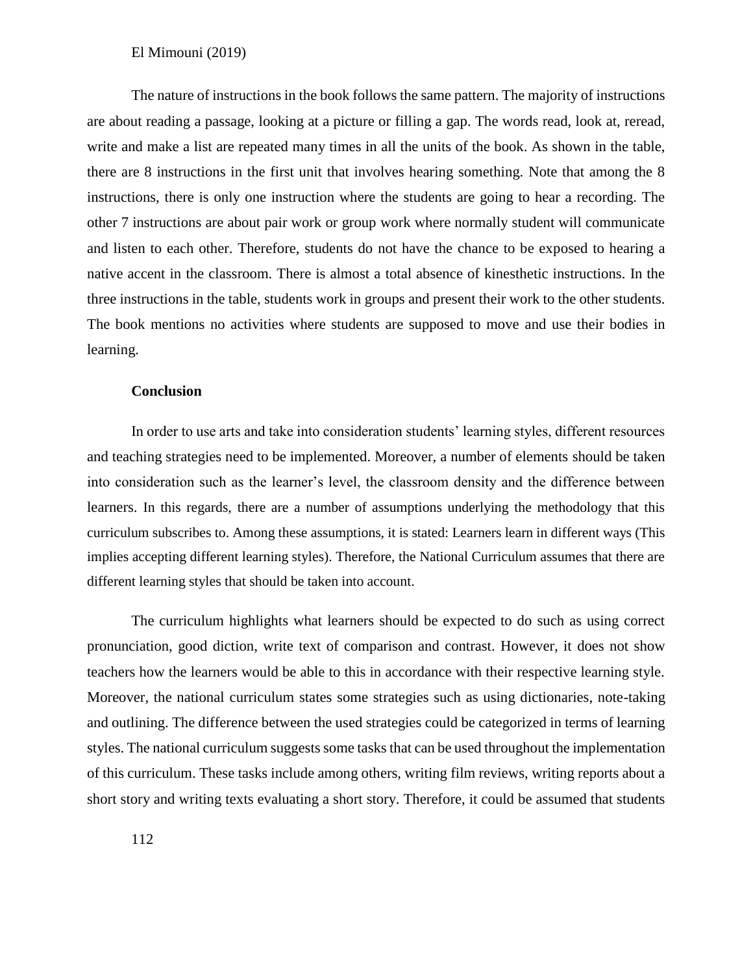The nature of instructions in the book follows the same pattern. The majority of instructions are about reading a passage, looking at a picture or filling a gap. The words read, look at, reread, write and make a list are repeated many times in all the units of the book. As shown in the table, there are 8 instructions in the first unit that involves hearing something. Note that among the 8 instructions, there is only one instruction where the students are going to hear a recording. The other 7 instructions are about pair work or group work where normally student will communicate and listen to each other. Therefore, students do not have the chance to be exposed to hearing a native accent in the classroom. There is almost a total absence of kinesthetic instructions. In the three instructions in the table, students work in groups and present their work to the other students. The book mentions no activities where students are supposed to move and use their bodies in learning.

#### **Conclusion**

In order to use arts and take into consideration students' learning styles, different resources and teaching strategies need to be implemented. Moreover, a number of elements should be taken into consideration such as the learner's level, the classroom density and the difference between learners. In this regards, there are a number of assumptions underlying the methodology that this curriculum subscribes to. Among these assumptions, it is stated: Learners learn in different ways (This implies accepting different learning styles). Therefore, the National Curriculum assumes that there are different learning styles that should be taken into account.

The curriculum highlights what learners should be expected to do such as using correct pronunciation, good diction, write text of comparison and contrast. However, it does not show teachers how the learners would be able to this in accordance with their respective learning style. Moreover, the national curriculum states some strategies such as using dictionaries, note-taking and outlining. The difference between the used strategies could be categorized in terms of learning styles. The national curriculum suggests some tasks that can be used throughout the implementation of this curriculum. These tasks include among others, writing film reviews, writing reports about a short story and writing texts evaluating a short story. Therefore, it could be assumed that students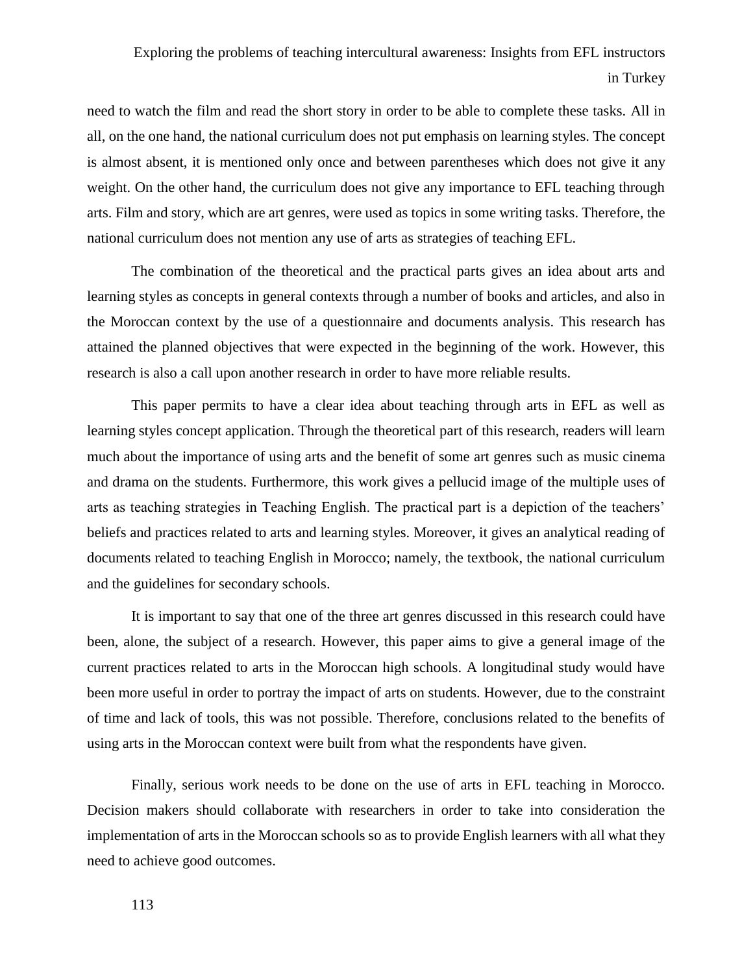need to watch the film and read the short story in order to be able to complete these tasks. All in all, on the one hand, the national curriculum does not put emphasis on learning styles. The concept is almost absent, it is mentioned only once and between parentheses which does not give it any weight. On the other hand, the curriculum does not give any importance to EFL teaching through arts. Film and story, which are art genres, were used as topics in some writing tasks. Therefore, the national curriculum does not mention any use of arts as strategies of teaching EFL.

The combination of the theoretical and the practical parts gives an idea about arts and learning styles as concepts in general contexts through a number of books and articles, and also in the Moroccan context by the use of a questionnaire and documents analysis. This research has attained the planned objectives that were expected in the beginning of the work. However, this research is also a call upon another research in order to have more reliable results.

This paper permits to have a clear idea about teaching through arts in EFL as well as learning styles concept application. Through the theoretical part of this research, readers will learn much about the importance of using arts and the benefit of some art genres such as music cinema and drama on the students. Furthermore, this work gives a pellucid image of the multiple uses of arts as teaching strategies in Teaching English. The practical part is a depiction of the teachers' beliefs and practices related to arts and learning styles. Moreover, it gives an analytical reading of documents related to teaching English in Morocco; namely, the textbook, the national curriculum and the guidelines for secondary schools.

It is important to say that one of the three art genres discussed in this research could have been, alone, the subject of a research. However, this paper aims to give a general image of the current practices related to arts in the Moroccan high schools. A longitudinal study would have been more useful in order to portray the impact of arts on students. However, due to the constraint of time and lack of tools, this was not possible. Therefore, conclusions related to the benefits of using arts in the Moroccan context were built from what the respondents have given.

Finally, serious work needs to be done on the use of arts in EFL teaching in Morocco. Decision makers should collaborate with researchers in order to take into consideration the implementation of arts in the Moroccan schools so as to provide English learners with all what they need to achieve good outcomes.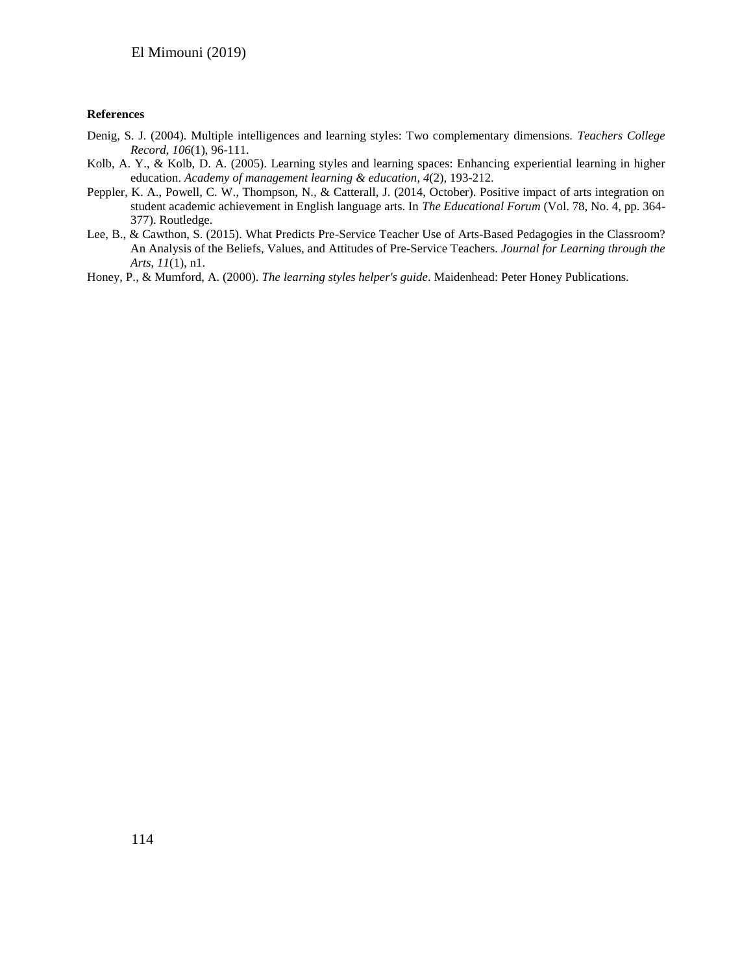#### **References**

- Denig, S. J. (2004). Multiple intelligences and learning styles: Two complementary dimensions. *Teachers College Record*, *106*(1), 96-111.
- Kolb, A. Y., & Kolb, D. A. (2005). Learning styles and learning spaces: Enhancing experiential learning in higher education. *Academy of management learning & education*, *4*(2), 193-212.
- Peppler, K. A., Powell, C. W., Thompson, N., & Catterall, J. (2014, October). Positive impact of arts integration on student academic achievement in English language arts. In *The Educational Forum* (Vol. 78, No. 4, pp. 364- 377). Routledge.
- Lee, B., & Cawthon, S. (2015). What Predicts Pre-Service Teacher Use of Arts-Based Pedagogies in the Classroom? An Analysis of the Beliefs, Values, and Attitudes of Pre-Service Teachers. *Journal for Learning through the Arts*, *11*(1), n1.
- Honey, P., & Mumford, A. (2000). *The learning styles helper's guide*. Maidenhead: Peter Honey Publications.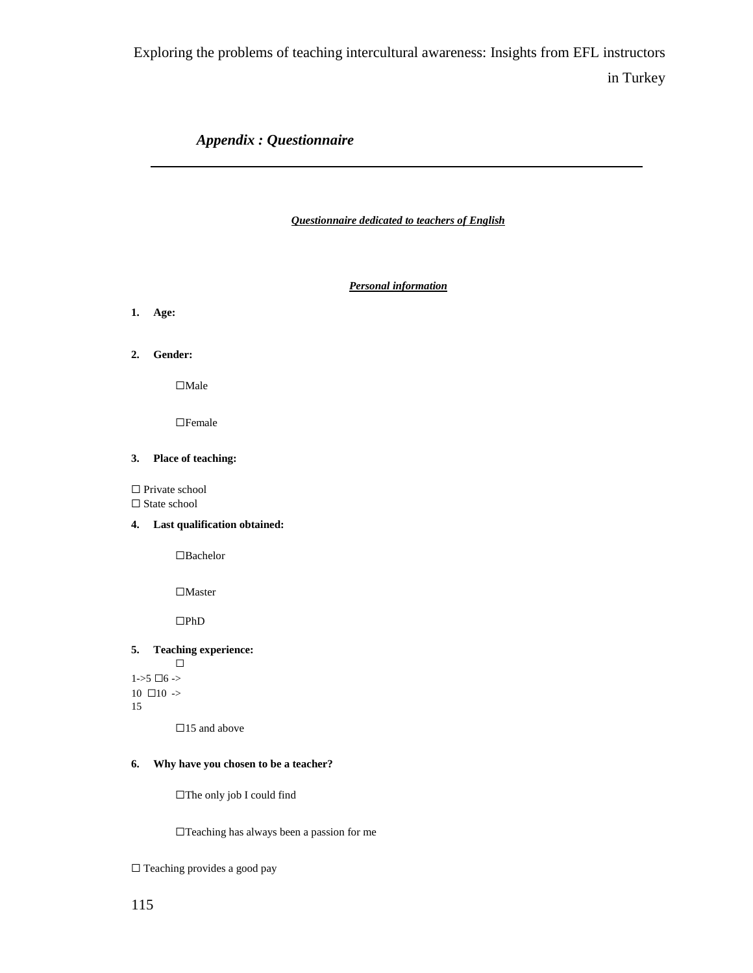## *Appendix : Questionnaire*

*Questionnaire dedicated to teachers of English*

*Personal information*

**1. Age:**

**2. Gender:**

☐Male

☐Female

#### **3. Place of teaching:**

□ Private school

 $\Box$  State school

**4. Last qualification obtained:**

☐Bachelor

 $\Box\mathit{Master}$ 

 $\Box \mathrm{PhD}$ 

### **5. Teaching experience:**

☐  $1 - 5 \Box 6$  ->  $10 \Box 10$  -> 15

 $\Box 15$  and above

#### **6. Why have you chosen to be a teacher?**

☐The only job I could find

☐Teaching has always been a passion for me

☐ Teaching provides a good pay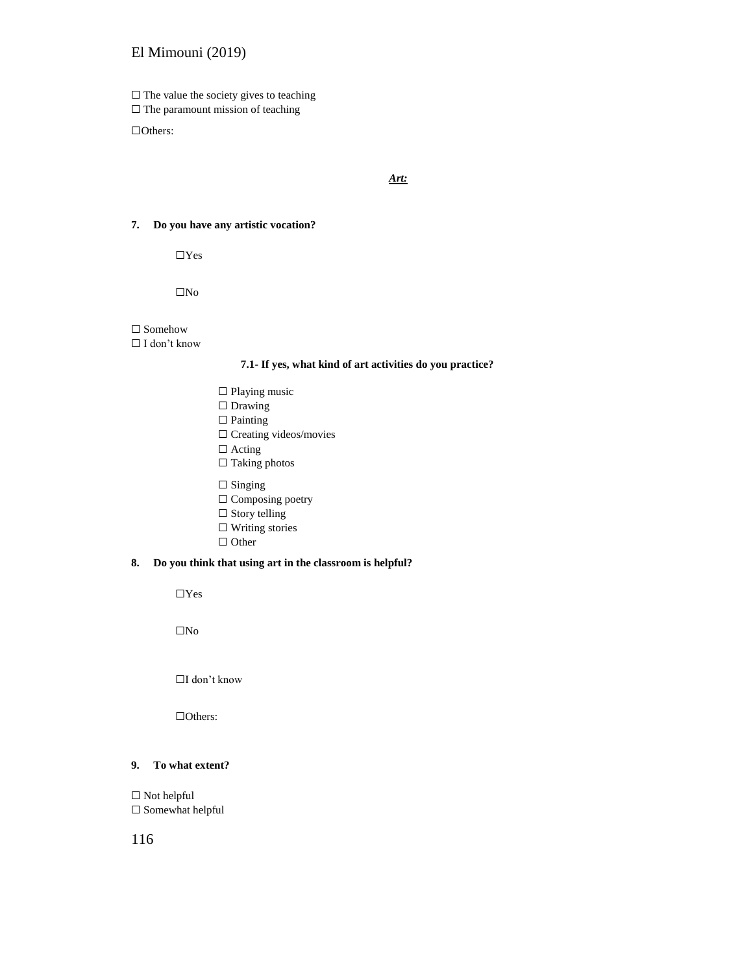$\Box$  <br> The value the society gives to teaching

□ The paramount mission of teaching

☐Others:

*Art:*

#### **7. Do you have any artistic vocation?**

☐Yes

☐No

#### $\Box$  Somehow

#### ☐ I don't know

#### **7.1- If yes, what kind of art activities do you practice?**

☐ Playing music □ Drawing □ Painting ☐ Creating videos/movies □ Acting ☐ Taking photos

 $\Box$  Singing

☐ Composing poetry

- $\Box$  Story telling
- ☐ Writing stories
- □ Other

#### **8. Do you think that using art in the classroom is helpful?**

 $\Box$ 

 $\square$  No

☐I don't know

☐Others:

#### **9. To what extent?**

 $\Box$  Not helpful ☐ Somewhat helpful

116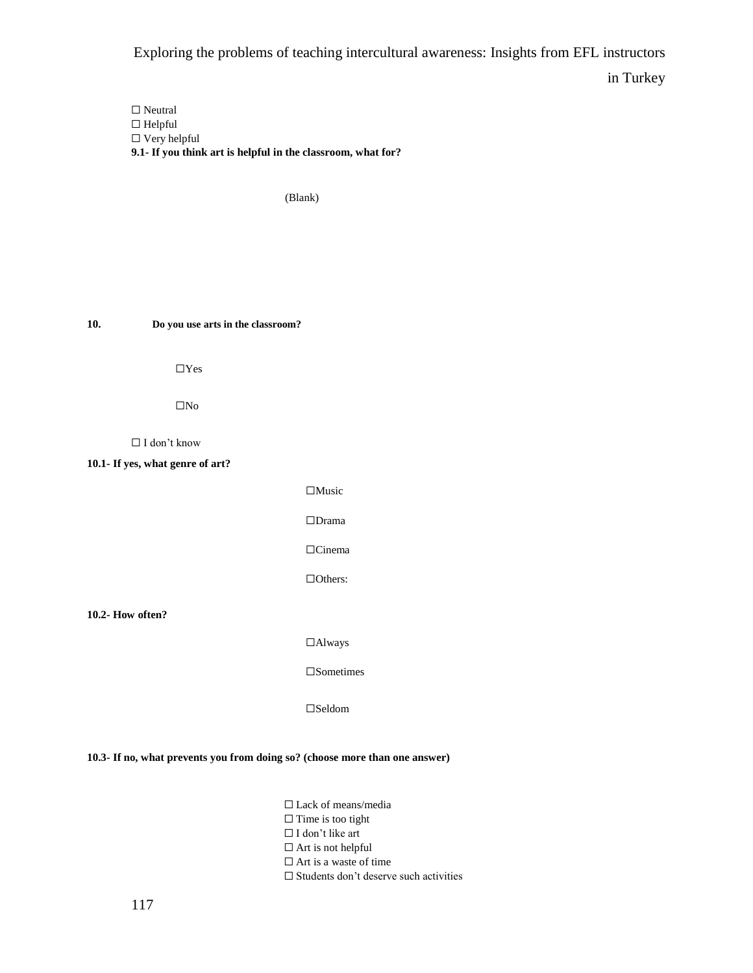□ Neutral ☐ Helpful ☐ Very helpful **9.1- If you think art is helpful in the classroom, what for?**

(Blank)

**10. Do you use arts in the classroom?**

☐Yes

 $\Box$ No

☐ I don't know

**10.1- If yes, what genre of art?**

☐Music ☐Drama ☐Cinema ☐Others:

**10.2- How often?**

☐Always

☐Sometimes

☐Seldom

**10.3- If no, what prevents you from doing so? (choose more than one answer)**

☐ Lack of means/media □ Time is too tight ☐ I don't like art □ Art is not helpful □ Art is a waste of time

☐ Students don't deserve such activities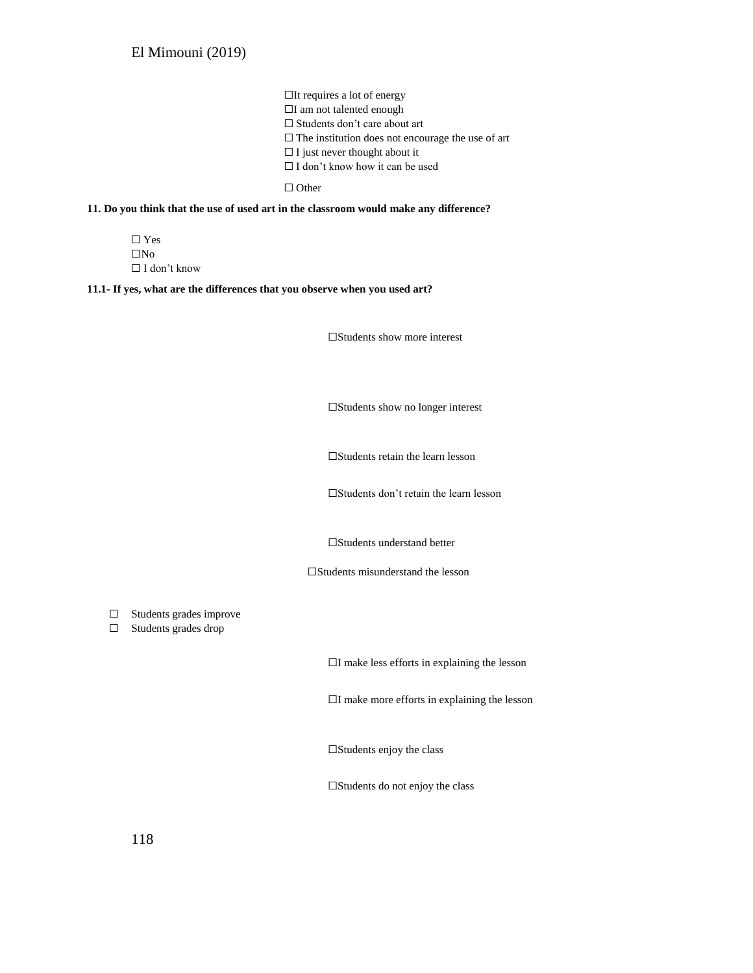☐It requires a lot of energy ☐I am not talented enough ☐ Students don't care about art  $\square$  The institution does not encourage the use of art  $\Box$  I just never thought about it  $\Box$  I don't know how it can be used

□ Other

#### **11. Do you think that the use of used art in the classroom would make any difference?**

☐ Yes ☐No ☐ I don't know

#### **11.1- If yes, what are the differences that you observe when you used art?**

☐Students show more interest

☐Students show no longer interest

☐Students retain the learn lesson

☐Students don't retain the learn lesson

☐Students understand better

☐Students misunderstand the lesson

☐ Students grades improve

☐ Students grades drop

☐I make less efforts in explaining the lesson

☐I make more efforts in explaining the lesson

 $\square$ Students enjoy the class

☐Students do not enjoy the class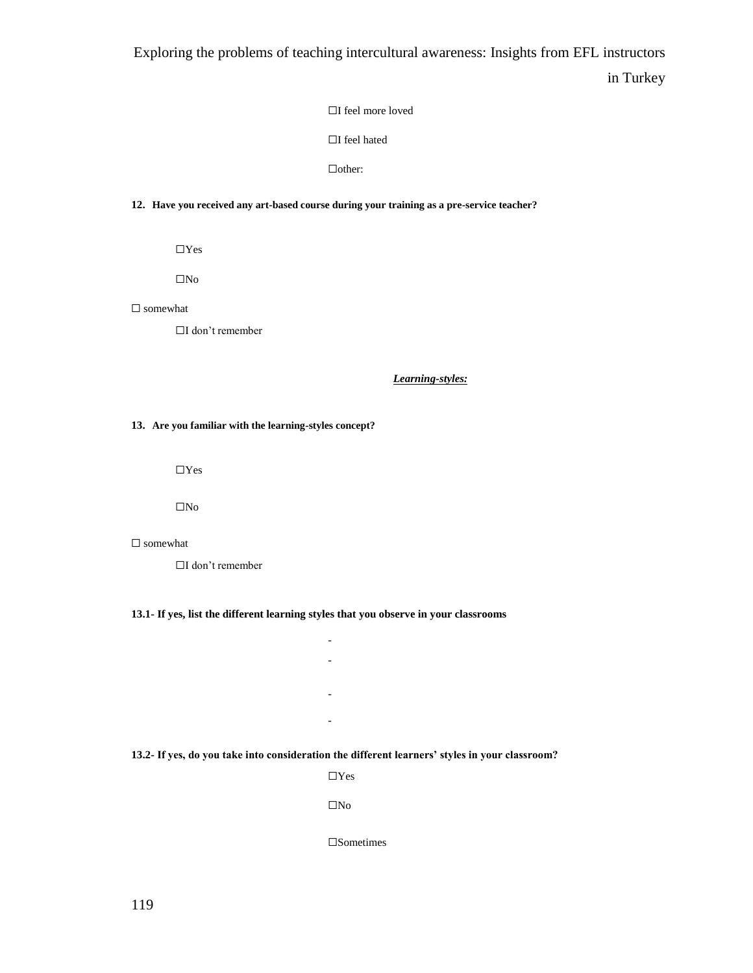☐I feel more loved

☐I feel hated

☐other:

#### **12. Have you received any art-based course during your training as a pre-service teacher?**

☐Yes

☐No

□ somewhat

☐I don't remember

*Learning-styles:*

**13. Are you familiar with the learning-styles concept?**

☐Yes

☐No

☐ somewhat

☐I don't remember

**13.1- If yes, list the different learning styles that you observe in your classrooms**

- -

-

-

**13.2- If yes, do you take into consideration the different learners' styles in your classroom?**

☐Yes

☐No

☐Sometimes